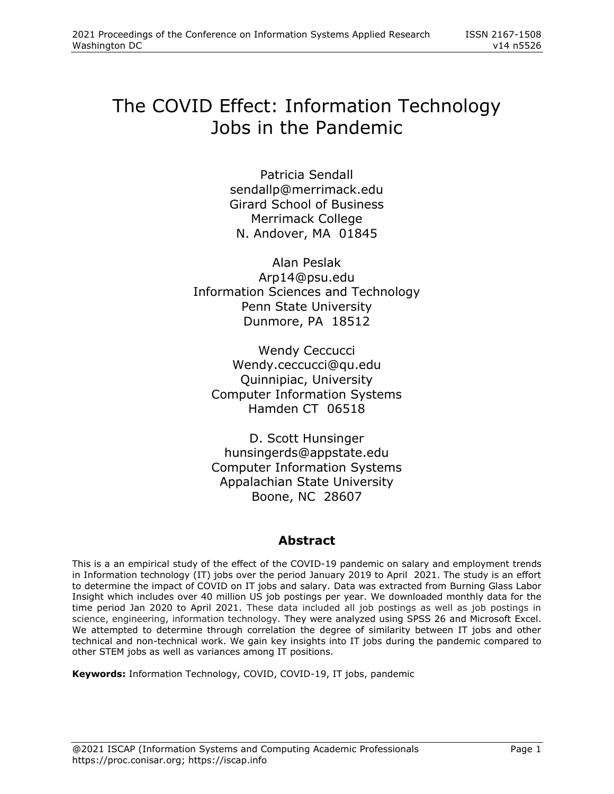# The COVID Effect: Information Technology Jobs in the Pandemic

Patricia Sendall [sendallp@merrimack.edu](mailto:sendallp@merrimack.edu) Girard School of Business Merrimack College N. Andover, MA 01845

Alan Peslak Arp14@psu.edu Information Sciences and Technology Penn State University Dunmore, PA 18512

Wendy Ceccucci Wendy.ceccucci@qu.edu Quinnipiac, University Computer Information Systems Hamden CT 06518

D. Scott Hunsinger hunsingerds@appstate.edu Computer Information Systems Appalachian State University Boone, NC 28607

# **Abstract**

This is a an empirical study of the effect of the COVID-19 pandemic on salary and employment trends in Information technology (IT) jobs over the period January 2019 to April 2021. The study is an effort to determine the impact of COVID on IT jobs and salary. Data was extracted from Burning Glass Labor Insight which includes over 40 million US job postings per year. We downloaded monthly data for the time period Jan 2020 to April 2021. These data included all job postings as well as job postings in science, engineering, information technology. They were analyzed using SPSS 26 and Microsoft Excel. We attempted to determine through correlation the degree of similarity between IT jobs and other technical and non-technical work. We gain key insights into IT jobs during the pandemic compared to other STEM jobs as well as variances among IT positions.

**Keywords:** Information Technology, COVID, COVID-19, IT jobs, pandemic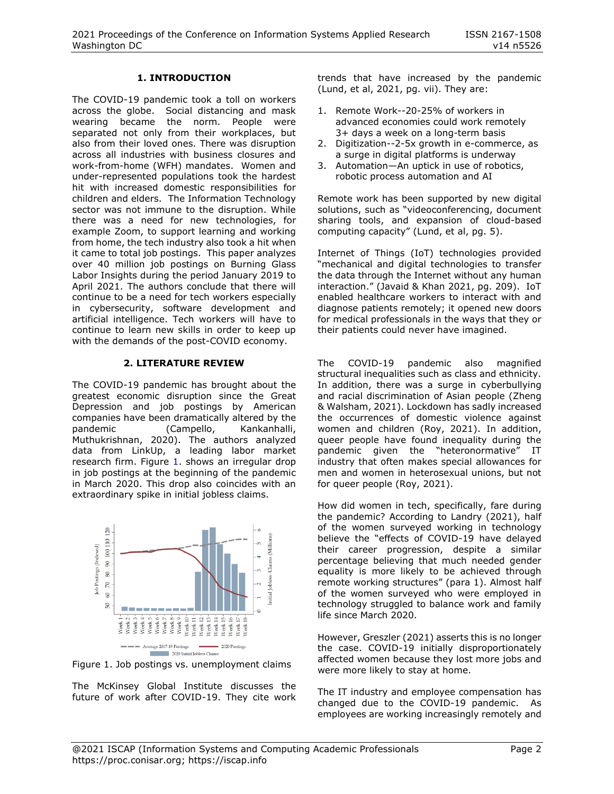## **1. INTRODUCTION**

The COVID-19 pandemic took a toll on workers across the globe. Social distancing and mask wearing became the norm. People were separated not only from their workplaces, but also from their loved ones. There was disruption across all industries with business closures and work-from-home (WFH) mandates. Women and under-represented populations took the hardest hit with increased domestic responsibilities for children and elders. The Information Technology sector was not immune to the disruption. While there was a need for new technologies, for example Zoom, to support learning and working from home, the tech industry also took a hit when it came to total job postings. This paper analyzes over 40 million job postings on Burning Glass Labor Insights during the period January 2019 to April 2021. The authors conclude that there will continue to be a need for tech workers especially in cybersecurity, software development and artificial intelligence. Tech workers will have to continue to learn new skills in order to keep up with the demands of the post-COVID economy.

#### **2. LITERATURE REVIEW**

The COVID-19 pandemic has brought about the greatest economic disruption since the Great Depression and job postings by American companies have been dramatically altered by the pandemic (Campello, Kankanhalli, Muthukrishnan, 2020). The authors analyzed data from LinkUp, a leading labor market research firm. Figure 1. shows an irregular drop in job postings at the beginning of the pandemic in March 2020. This drop also coincides with an extraordinary spike in initial jobless claims.



Figure 1. Job postings vs. unemployment claims

The McKinsey Global Institute discusses the future of work after COVID-19. They cite work trends that have increased by the pandemic (Lund, et al, 2021, pg. vii). They are:

- 1. Remote Work--20-25% of workers in advanced economies could work remotely 3+ days a week on a long-term basis
- 2. Digitization--2-5x growth in e-commerce, as a surge in digital platforms is underway
- 3. Automation—An uptick in use of robotics, robotic process automation and AI

Remote work has been supported by new digital solutions, such as "videoconferencing, document sharing tools, and expansion of cloud-based computing capacity" (Lund, et al, pg. 5).

Internet of Things (IoT) technologies provided "mechanical and digital technologies to transfer the data through the Internet without any human interaction." (Javaid & Khan 2021, pg. 209). IoT enabled healthcare workers to interact with and diagnose patients remotely; it opened new doors for medical professionals in the ways that they or their patients could never have imagined.

The COVID-19 pandemic also magnified structural inequalities such as class and ethnicity. In addition, there was a surge in cyberbullying and racial discrimination of Asian people (Zheng & Walsham, 2021). Lockdown has sadly increased the occurrences of domestic violence against women and children (Roy, 2021). In addition, queer people have found inequality during the pandemic given the "heteronormative" IT industry that often makes special allowances for men and women in heterosexual unions, but not for queer people (Roy, 2021).

How did women in tech, specifically, fare during the pandemic? According to Landry (2021), half of the women surveyed working in technology believe the "effects of COVID-19 have delayed their career progression, despite a similar percentage believing that much needed gender equality is more likely to be achieved through remote working structures" (para 1). Almost half of the women surveyed who were employed in technology struggled to balance work and family life since March 2020.

However, Greszler (2021) asserts this is no longer the case. COVID-19 initially disproportionately affected women because they lost more jobs and were more likely to stay at home.

The IT industry and employee compensation has changed due to the COVID-19 pandemic. As employees are working increasingly remotely and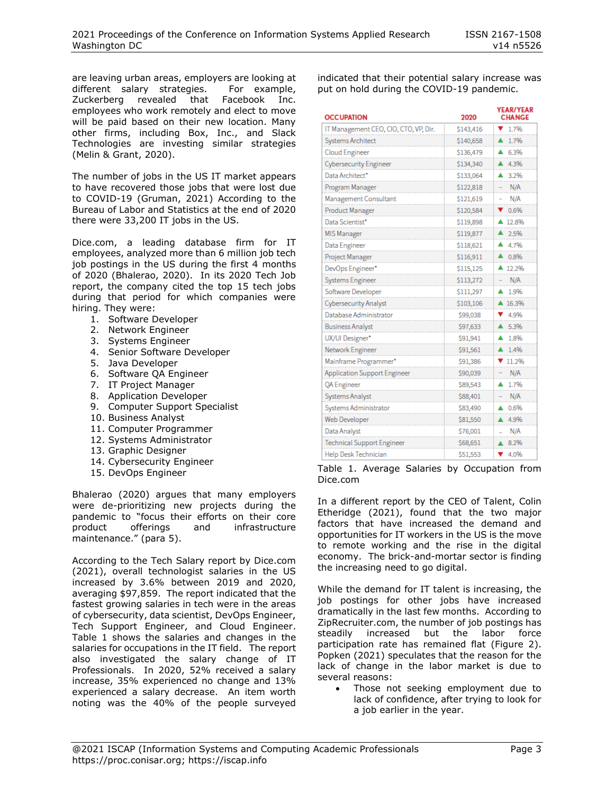are leaving urban areas, employers are looking at different salary strategies. For example, Zuckerberg revealed that Facebook Inc. employees who work remotely and elect to move will be paid based on their new location. Many other firms, including Box, Inc., and Slack Technologies are investing similar strategies (Melin & Grant, 2020).

The number of jobs in the US IT market appears to have recovered those jobs that were lost due to COVID-19 (Gruman, 2021) According to the Bureau of Labor and Statistics at the end of 2020 there were 33,200 IT jobs in the US.

Dice.com, a leading database firm for IT employees, analyzed more than 6 million job tech job postings in the US during the first 4 months of 2020 (Bhalerao, 2020). In its 2020 Tech Job report, the company cited the top 15 tech jobs during that period for which companies were hiring. They were:

- 1. Software Developer
- 2. Network Engineer
- 3. Systems Engineer
- 4. Senior Software Developer
- 5. Java Developer
- 6. Software QA Engineer
- 7. IT Project Manager
- 8. Application Developer
- 9. Computer Support Specialist
- 10. Business Analyst
- 11. Computer Programmer
- 12. Systems Administrator
- 13. Graphic Designer
- 14. Cybersecurity Engineer
- 15. DevOps Engineer

Bhalerao (2020) argues that many employers were de-prioritizing new projects during the pandemic to "focus their efforts on their core product offerings and infrastructure maintenance." (para 5).

According to the Tech Salary report by Dice.com (2021), overall technologist salaries in the US increased by 3.6% between 2019 and 2020, averaging \$97,859. The report indicated that the fastest growing salaries in tech were in the areas of cybersecurity, data scientist, DevOps Engineer, Tech Support Engineer, and Cloud Engineer. Table 1 shows the salaries and changes in the salaries for occupations in the IT field. The report also investigated the salary change of IT Professionals. In 2020, 52% received a salary increase, 35% experienced no change and 13% experienced a salary decrease. An item worth noting was the 40% of the people surveyed

indicated that their potential salary increase was put on hold during the COVID-19 pandemic.

| <b>OCCUPATION</b>                     | 2020      | <b>YEAR/YEAR</b><br><b>CHANGE</b> |
|---------------------------------------|-----------|-----------------------------------|
| IT Management CEO, CIO, CTO, VP, Dir. | \$143,416 | 1.7%                              |
| <b>Systems Architect</b>              | \$140,658 | 1.7%                              |
| <b>Cloud Engineer</b>                 | \$136,479 | 6.3%                              |
| <b>Cybersecurity Engineer</b>         | \$134,340 | ▲ 4.3%                            |
| Data Architect*                       | \$133,064 | 3.2%                              |
| Program Manager                       | \$122,818 | N/A                               |
| Management Consultant                 | \$121,619 | N/A                               |
| Product Manager                       | \$120,584 | 0.6%                              |
| Data Scientist*                       | \$119,898 | ▲ 12.8%                           |
| MIS Manager                           | \$119,877 | 2.5%                              |
| Data Engineer                         | \$118,621 | 4.7%                              |
| Project Manager                       | \$116,911 | 0.8%                              |
| DevOps Engineer*                      | \$115,125 | $412.2\%$                         |
| Systems Engineer                      | \$113,272 | N/A                               |
| Software Developer                    | \$111,297 | 1.9%                              |
| <b>Cybersecurity Analyst</b>          | \$103,106 | ▲ 16.3%                           |
| Database Administrator                | \$99,038  | 4.9%                              |
| <b>Business Analyst</b>               | \$97,633  | 5.3%                              |
| UX/UI Designer*                       | \$91,941  | 1.8%                              |
| Network Engineer                      | \$91,561  | $41.4\%$                          |
| Mainframe Programmer*                 | \$91,386  | $711.2\%$                         |
| Application Support Engineer          | \$90,039  | N/A                               |
| QA Engineer                           | \$89,543  | 1.7%                              |
| Systems Analyst                       | \$88,401  | N/A                               |
| Systems Administrator                 | \$83,490  | 0.6%                              |
| Web Developer                         | \$81,550  | 4.9%                              |
| Data Analyst                          | \$76,001  | N/A                               |
| <b>Technical Support Engineer</b>     | \$68,651  | 8.2%                              |
| Help Desk Technician                  | \$51,553  | 4.0%                              |

Table 1. Average Salaries by Occupation from Dice.com

In a different report by the CEO of Talent, Colin Etheridge (2021), found that the two major factors that have increased the demand and opportunities for IT workers in the US is the move to remote working and the rise in the digital economy. The brick-and-mortar sector is finding the increasing need to go digital.

While the demand for IT talent is increasing, the job postings for other jobs have increased dramatically in the last few months. According to ZipRecruiter.com, the number of job postings has steadily increased but the labor force participation rate has remained flat (Figure 2). Popken (2021) speculates that the reason for the lack of change in the labor market is due to several reasons:

• Those not seeking employment due to lack of confidence, after trying to look for a job earlier in the year.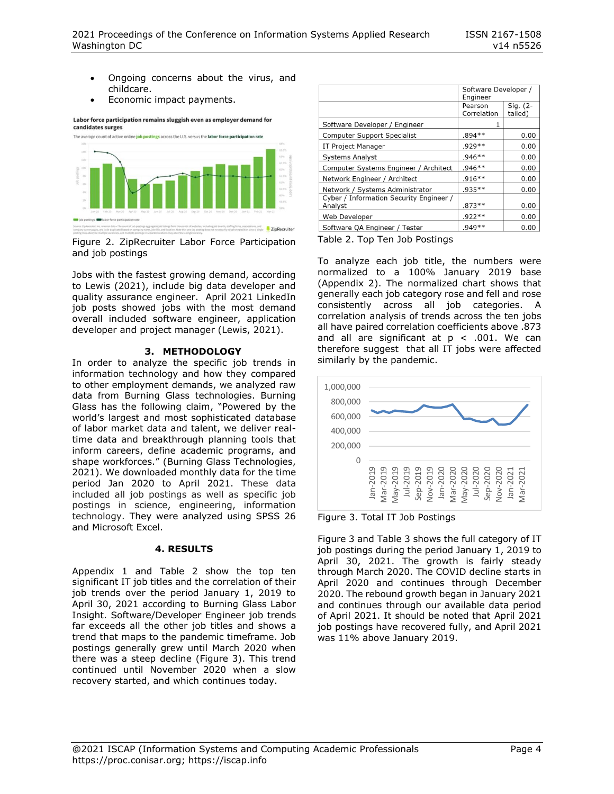- Ongoing concerns about the virus, and childcare.
- Economic impact payments.

Labor force participation remains sluggish even as employer demand for candidates surges



Figure 2. ZipRecruiter Labor Force Participation and job postings

Jobs with the fastest growing demand, according to Lewis (2021), include big data developer and quality assurance engineer. April 2021 LinkedIn job posts showed jobs with the most demand overall included software engineer, application developer and project manager (Lewis, 2021).

# **3. METHODOLOGY**

In order to analyze the specific job trends in information technology and how they compared to other employment demands, we analyzed raw data from Burning Glass technologies. Burning Glass has the following claim, "Powered by the world's largest and most sophisticated database of labor market data and talent, we deliver realtime data and breakthrough planning tools that inform careers, define academic programs, and shape workforces." (Burning Glass Technologies, 2021). We downloaded monthly data for the time period Jan 2020 to April 2021. These data included all job postings as well as specific job postings in science, engineering, information technology. They were analyzed using SPSS 26 and Microsoft Excel.

## **4. RESULTS**

Appendix 1 and Table 2 show the top ten significant IT job titles and the correlation of their job trends over the period January 1, 2019 to April 30, 2021 according to Burning Glass Labor Insight. Software/Developer Engineer job trends far exceeds all the other job titles and shows a trend that maps to the pandemic timeframe. Job postings generally grew until March 2020 when there was a steep decline (Figure 3). This trend continued until November 2020 when a slow recovery started, and which continues today.

|                                                    | Software Developer /<br>Engineer |                     |
|----------------------------------------------------|----------------------------------|---------------------|
|                                                    | Pearson<br>Correlation           | Sig. (2-<br>tailed) |
| Software Developer / Engineer                      | 1                                |                     |
| <b>Computer Support Specialist</b>                 | $.894**$                         | 0.00                |
| IT Project Manager                                 | $.929**$                         | 0.00                |
| <b>Systems Analyst</b>                             | $.946**$                         | 0.00                |
| Computer Systems Engineer / Architect              | $.946**$                         | 0.00                |
| Network Engineer / Architect                       | $.916**$                         | 0.00                |
| Network / Systems Administrator                    | $.935**$                         | 0.00                |
| Cyber / Information Security Engineer /<br>Analyst | $.873**$                         | 0.00                |
| Web Developer                                      | $.922**$                         | 0.00                |
| Software QA Engineer / Tester                      | $.949**$                         | 0.00                |

Table 2. Top Ten Job Postings

To analyze each job title, the numbers were normalized to a 100% January 2019 base (Appendix 2). The normalized chart shows that generally each job category rose and fell and rose consistently across all job categories. A correlation analysis of trends across the ten jobs all have paired correlation coefficients above .873 and all are significant at  $p < .001$ . We can therefore suggest that all IT jobs were affected similarly by the pandemic.



Figure 3. Total IT Job Postings

Figure 3 and Table 3 shows the full category of IT job postings during the period January 1, 2019 to April 30, 2021. The growth is fairly steady through March 2020. The COVID decline starts in April 2020 and continues through December 2020. The rebound growth began in January 2021 and continues through our available data period of April 2021. It should be noted that April 2021 job postings have recovered fully, and April 2021 was 11% above January 2019.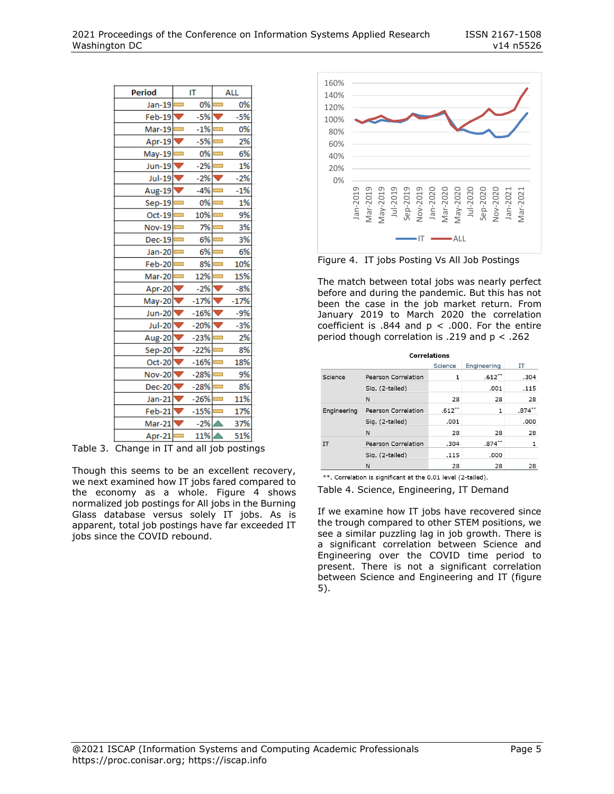| Period                      | IΤ |                 | ALL                      |        |
|-----------------------------|----|-----------------|--------------------------|--------|
| Jan-19 $\Box$               |    | 0%              |                          | 0%     |
| Feb-19 $\nabla$             |    | $-5%$           | $\overline{\phantom{a}}$ | $-5%$  |
| Mar-19 $\equiv$             |    | $-1\%$ $\equiv$ |                          | 0%     |
| Apr-19 $\blacktriangledown$ |    | $-5\%$ $\equiv$ |                          | 2%     |
| May-19 —                    |    | $0\%$ $\equiv$  |                          | 6%     |
| Jun-19                      |    | $-2%$           | ۳                        | 1%     |
| <b>Jul-19</b>               |    | $-2%$           |                          | $-2%$  |
| Aug-19                      |    | $-4%$           |                          | $-1%$  |
| <b>Sep-19</b>               |    | 0%              |                          | 1%     |
| $Oct-19$                    |    | 10%             |                          | 9%     |
| <b>Nov-19</b>               |    | 7%              |                          | 3%     |
| $Dec-19$                    |    | 6%              |                          | 3%     |
| Jan-20                      |    | 6%              |                          | 6%     |
| Feb-20                      |    | 8%              |                          | 10%    |
| Mar-20 <b>=</b>             |    | 12%             |                          | 15%    |
| Apr-20 $\blacktriangledown$ |    | $-2%$           |                          | $-8%$  |
| May-20                      |    | $-17%$          |                          | $-17%$ |
| <b>Jun-20</b>               |    | $-16%$          |                          | $-9%$  |
| <b>Jul-20</b>               |    | $-20%$          |                          | $-3%$  |
| Aug-20                      |    | $-23%$          |                          | 2%     |
| Sep-20                      |    | $-22%$          |                          | 8%     |
| Oct-20                      |    | $-16%$          |                          | 18%    |
| Nov-20                      |    | $-28%$          |                          | 9%     |
| Dec-20 $\nabla$             |    | $-28%$          |                          | 8%     |
| $Jan-21$                    |    | $-26%$          |                          | 11%    |
| Feb-21                      |    | $-15%$          |                          | 17%    |
| Mar-21                      |    | $-2%$           |                          | 37%    |
| Apr-21                      |    | 11%             |                          | 51%    |

Table 3. Change in IT and all job postings

Though this seems to be an excellent recovery, we next examined how IT jobs fared compared to the economy as a whole. Figure 4 shows normalized job postings for All jobs in the Burning Glass database versus solely IT jobs. As is apparent, total job postings have far exceeded IT jobs since the COVID rebound.



Figure 4. IT jobs Posting Vs All Job Postings

The match between total jobs was nearly perfect before and during the pandemic. But this has not been the case in the job market return. From January 2019 to March 2020 the correlation coefficient is  $.844$  and  $p < .000$ . For the entire period though correlation is .219 and p < .262

| <b>Correlations</b> |                     |           |             |           |
|---------------------|---------------------|-----------|-------------|-----------|
|                     |                     | Science   | Engineering | IΤ        |
| Science             | Pearson Correlation | 1         | $.612***$   | .304      |
|                     | Sig. (2-tailed)     |           | .001        | .115      |
|                     | N                   | 28        | 28          | 28        |
| Engineering         | Pearson Correlation | $.612***$ | 1           | $.874***$ |
|                     | Sig. (2-tailed)     | .001      |             | .000      |
|                     | N                   | 28        | 28          | 28        |
| IT                  | Pearson Correlation | .304      | $.874***$   | 1         |
|                     | Sig. (2-tailed)     | .115      | ,000        |           |
|                     | N                   | 28        | 28          | 28        |
| also also           |                     |           |             |           |

\*\*. Correlation is significant at the 0.01 level (2-tailed).

Table 4. Science, Engineering, IT Demand

If we examine how IT jobs have recovered since the trough compared to other STEM positions, we see a similar puzzling lag in job growth. There is a significant correlation between Science and Engineering over the COVID time period to present. There is not a significant correlation between Science and Engineering and IT (figure 5).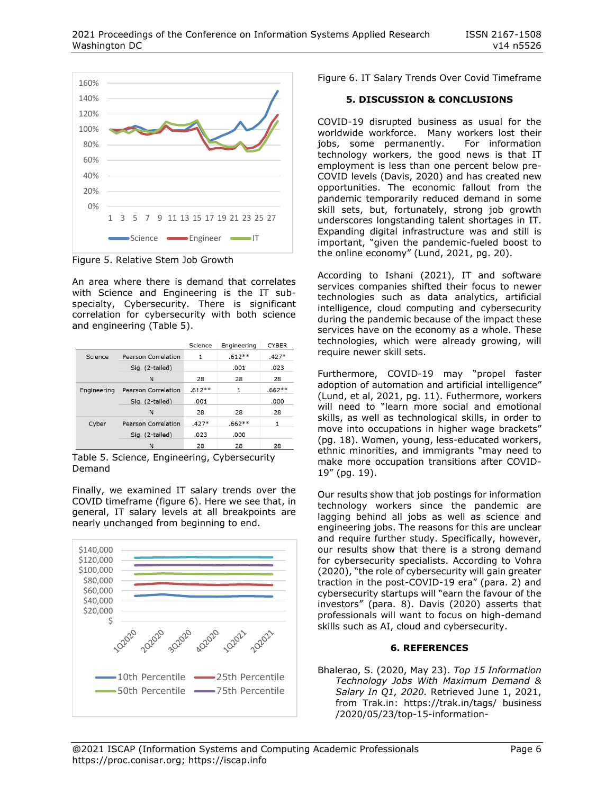

Figure 5. Relative Stem Job Growth

An area where there is demand that correlates with Science and Engineering is the IT subspecialty, Cybersecurity. There is significant correlation for cybersecurity with both science and engineering (Table 5).

|             |                            | Science  | Engineering | <b>CYBER</b> |
|-------------|----------------------------|----------|-------------|--------------|
| Science     | Pearson Correlation        | 1        | $.612**$    | $.427*$      |
|             | Sig. (2-tailed)            |          | .001        | .023         |
|             | N                          | 28       | 28          | 28           |
| Engineering | Pearson Correlation        | $.612**$ | 1           | $.662**$     |
|             | Sig. (2-tailed)            | .001     |             | .000         |
|             | N                          | 28       | 28          | 28           |
| Cyber       | <b>Pearson Correlation</b> | $.427*$  | $.662**$    | 1            |
|             | Sig. (2-tailed)            | .023     | .000        |              |
|             | N                          | 28       | 28          | 28           |

Table 5. Science, Engineering, Cybersecurity Demand

Finally, we examined IT salary trends over the COVID timeframe (figure 6). Here we see that, in general, IT salary levels at all breakpoints are nearly unchanged from beginning to end.



Figure 6. IT Salary Trends Over Covid Timeframe

# **5. DISCUSSION & CONCLUSIONS**

COVID-19 disrupted business as usual for the worldwide workforce. Many workers lost their jobs, some permanently. For information technology workers, the good news is that IT employment is less than one percent below pre-COVID levels (Davis, 2020) and has created new opportunities. The economic fallout from the pandemic temporarily reduced demand in some skill sets, but, fortunately, strong job growth underscores longstanding talent shortages in IT. Expanding digital infrastructure was and still is important, "given the pandemic-fueled boost to the online economy" (Lund, 2021, pg. 20).

According to Ishani (2021), IT and software services companies shifted their focus to newer technologies such as data analytics, artificial intelligence, cloud computing and cybersecurity during the pandemic because of the impact these services have on the economy as a whole. These technologies, which were already growing, will require newer skill sets.

Furthermore, COVID-19 may "propel faster adoption of automation and artificial intelligence" (Lund, et al, 2021, pg. 11). Futhermore, workers will need to "learn more social and emotional skills, as well as technological skills, in order to move into occupations in higher wage brackets" (pg. 18). Women, young, less-educated workers, ethnic minorities, and immigrants "may need to make more occupation transitions after COVID-19" (pg. 19).

Our results show that job postings for information technology workers since the pandemic are lagging behind all jobs as well as science and engineering jobs. The reasons for this are unclear and require further study. Specifically, however, our results show that there is a strong demand for cybersecurity specialists. According to Vohra (2020), "the role of cybersecurity will gain greater traction in the post-COVID-19 era" (para. 2) and cybersecurity startups will "earn the favour of the investors" (para. 8). Davis (2020) asserts that professionals will want to focus on high-demand skills such as AI, cloud and cybersecurity.

## **6. REFERENCES**

Bhalerao, S. (2020, May 23). *Top 15 Information Technology Jobs With Maximum Demand & Salary In Q1, 2020.* Retrieved June 1, 2021, from Trak.in: https://trak.in/tags/ business /2020/05/23/top-15-information-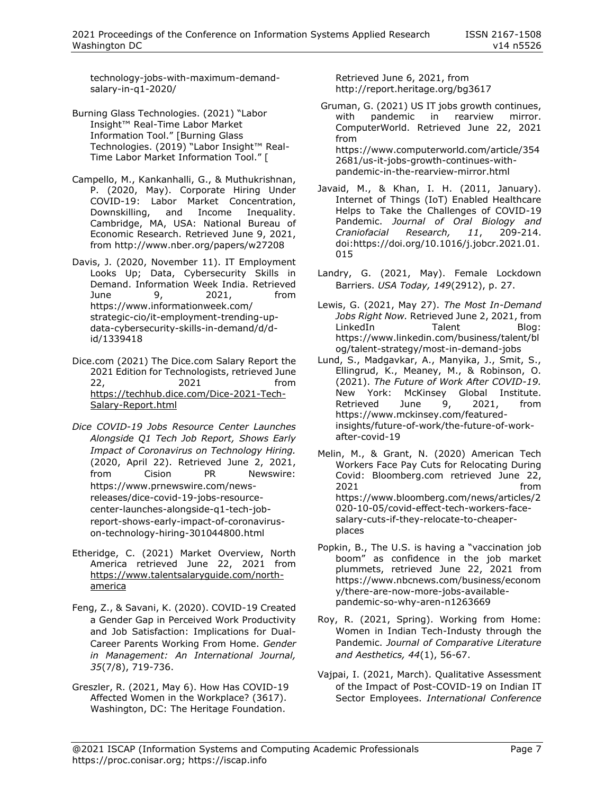technology-jobs-with-maximum-demandsalary-in-q1-2020/

Burning Glass Technologies. (2021) "Labor Insight™ Real-Time Labor Market Information Tool." [Burning Glass Technologies. (2019) "Labor Insight™ Real-Time Labor Market Information Tool." [

Campello, M., Kankanhalli, G., & Muthukrishnan, P. (2020, May). Corporate Hiring Under COVID-19: Labor Market Concentration,<br>Downskilling, and Income Inequality. and Income Inequality. Cambridge, MA, USA: National Bureau of Economic Research. Retrieved June 9, 2021, from http://www.nber.org/papers/w27208

Davis, J. (2020, November 11). IT Employment Looks Up; Data, Cybersecurity Skills in Demand. Information Week India. Retrieved June 9, 2021, from https://www.informationweek.com/ strategic-cio/it-employment-trending-updata-cybersecurity-skills-in-demand/d/did/1339418

Dice.com (2021) The Dice.com Salary Report the 2021 Edition for Technologists, retrieved June 22, 2021 from [https://techhub.dice.com/Dice-2021-Tech-](https://techhub.dice.com/Dice-2021-Tech-Salary-Report.html)[Salary-Report.html](https://techhub.dice.com/Dice-2021-Tech-Salary-Report.html)

*Dice COVID-19 Jobs Resource Center Launches Alongside Q1 Tech Job Report, Shows Early Impact of Coronavirus on Technology Hiring.* (2020, April 22). Retrieved June 2, 2021, from Cision PR Newswire: https://www.prnewswire.com/newsreleases/dice-covid-19-jobs-resourcecenter-launches-alongside-q1-tech-jobreport-shows-early-impact-of-coronaviruson-technology-hiring-301044800.html

- Etheridge, C. (2021) Market Overview, North America retrieved June 22, 2021 from [https://www.talentsalaryguide.com/north](https://www.talentsalaryguide.com/north-america)[america](https://www.talentsalaryguide.com/north-america)
- Feng, Z., & Savani, K. (2020). COVID-19 Created a Gender Gap in Perceived Work Productivity and Job Satisfaction: Implications for Dual-Career Parents Working From Home. *Gender in Management: An International Journal, 35*(7/8), 719-736.
- Greszler, R. (2021, May 6). How Has COVID-19 Affected Women in the Workplace? (3617). Washington, DC: The Heritage Foundation.

Retrieved June 6, 2021, from http://report.heritage.org/bg3617

Gruman, G. (2021) US IT jobs growth continues, with pandemic in rearview mirror. ComputerWorld. Retrieved June 22, 2021 from https://www.computerworld.com/article/354 2681/us-it-jobs-growth-continues-withpandemic-in-the-rearview-mirror.html

- Javaid, M., & Khan, I. H. (2011, January). Internet of Things (IoT) Enabled Healthcare Helps to Take the Challenges of COVID-19 Pandemic. *Journal of Oral Biology and Craniofacial Research, 11*, 209-214. doi:https://doi.org/10.1016/j.jobcr.2021.01. 015
- Landry, G. (2021, May). Female Lockdown Barriers. *USA Today, 149*(2912), p. 27.
- Lewis, G. (2021, May 27). *The Most In-Demand Jobs Right Now.* Retrieved June 2, 2021, from LinkedIn Talent Blog: https://www.linkedin.com/business/talent/bl og/talent-strategy/most-in-demand-jobs
- Lund, S., Madgavkar, A., Manyika, J., Smit, S., Ellingrud, K., Meaney, M., & Robinson, O. (2021). *The Future of Work After COVID-19.* New York: McKinsey Global Institute. Retrieved June 9, 2021, from https://www.mckinsey.com/featuredinsights/future-of-work/the-future-of-workafter-covid-19
- Melin, M., & Grant, N. (2020) American Tech Workers Face Pay Cuts for Relocating During Covid: Bloomberg.com retrieved June 22, 2021 **from** https://www.bloomberg.com/news/articles/2 020-10-05/covid-effect-tech-workers-facesalary-cuts-if-they-relocate-to-cheaperplaces
- Popkin, B., The U.S. is having a "vaccination job boom" as confidence in the job market plummets, retrieved June 22, 2021 from https://www.nbcnews.com/business/econom y/there-are-now-more-jobs-availablepandemic-so-why-aren-n1263669
- Roy, R. (2021, Spring). Working from Home: Women in Indian Tech-Industy through the Pandemic. *Journal of Comparative Literature and Aesthetics, 44*(1), 56-67.
- Vajpai, I. (2021, March). Qualitative Assessment of the Impact of Post-COVID-19 on Indian IT Sector Employees. *International Conference*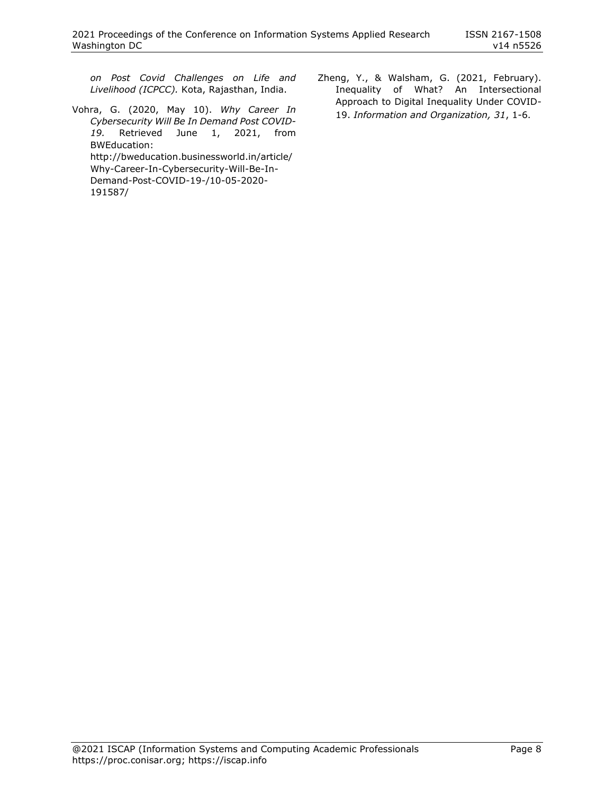*on Post Covid Challenges on Life and Livelihood (ICPCC).* Kota, Rajasthan, India.

Vohra, G. (2020, May 10). *Why Career In Cybersecurity Will Be In Demand Post COVID-19.* Retrieved June 1, 2021, from BWEducation: http://bweducation.businessworld.in/article/ Why-Career-In-Cybersecurity-Will-Be-In-Demand-Post-COVID-19-/10-05-2020-

191587/

Zheng, Y., & Walsham, G. (2021, February). Inequality of What? An Intersectional Approach to Digital Inequality Under COVID-19. *Information and Organization, 31*, 1-6.